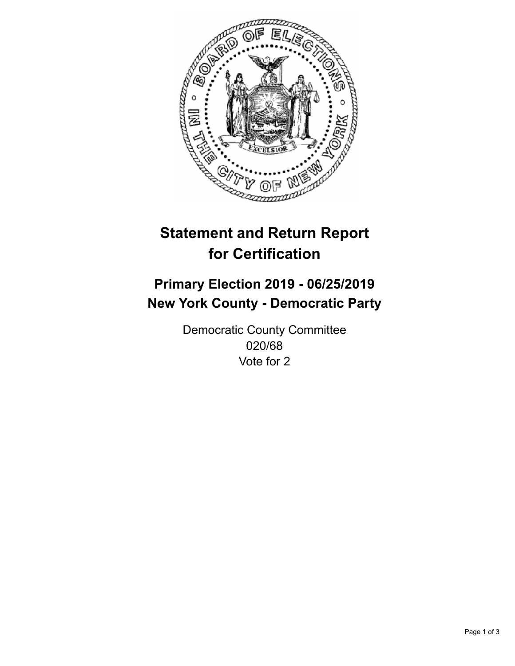

## **Statement and Return Report for Certification**

## **Primary Election 2019 - 06/25/2019 New York County - Democratic Party**

Democratic County Committee 020/68 Vote for 2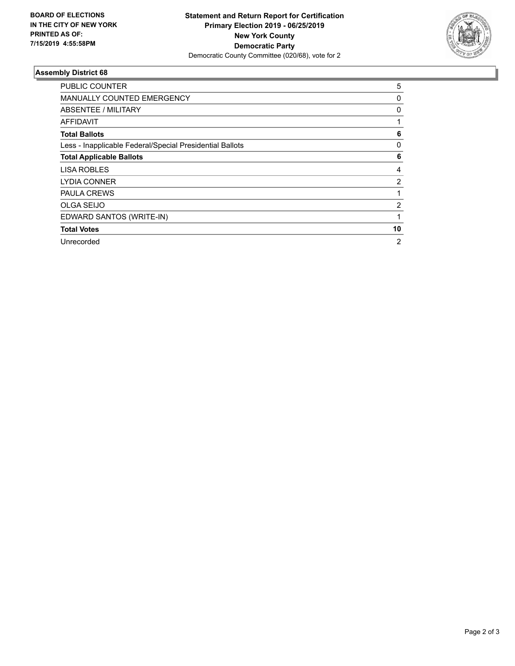

## **Assembly District 68**

| PUBLIC COUNTER                                           | 5              |
|----------------------------------------------------------|----------------|
| <b>MANUALLY COUNTED EMERGENCY</b>                        | 0              |
| ABSENTEE / MILITARY                                      | 0              |
| <b>AFFIDAVIT</b>                                         |                |
| <b>Total Ballots</b>                                     | 6              |
| Less - Inapplicable Federal/Special Presidential Ballots | 0              |
| <b>Total Applicable Ballots</b>                          | 6              |
| <b>LISA ROBLES</b>                                       | 4              |
| <b>LYDIA CONNER</b>                                      | 2              |
| <b>PAULA CREWS</b>                                       |                |
| <b>OLGA SEIJO</b>                                        | $\overline{2}$ |
| EDWARD SANTOS (WRITE-IN)                                 |                |
| <b>Total Votes</b>                                       | 10             |
| Unrecorded                                               | $\overline{2}$ |